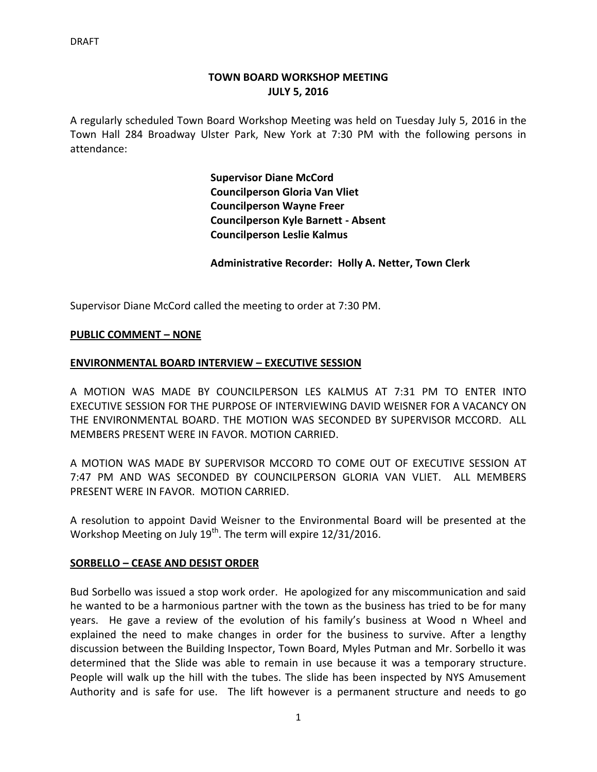# **TOWN BOARD WORKSHOP MEETING JULY 5, 2016**

A regularly scheduled Town Board Workshop Meeting was held on Tuesday July 5, 2016 in the Town Hall 284 Broadway Ulster Park, New York at 7:30 PM with the following persons in attendance:

> **Supervisor Diane McCord Councilperson Gloria Van Vliet Councilperson Wayne Freer Councilperson Kyle Barnett - Absent Councilperson Leslie Kalmus**

**Administrative Recorder: Holly A. Netter, Town Clerk**

Supervisor Diane McCord called the meeting to order at 7:30 PM.

### **PUBLIC COMMENT – NONE**

### **ENVIRONMENTAL BOARD INTERVIEW – EXECUTIVE SESSION**

A MOTION WAS MADE BY COUNCILPERSON LES KALMUS AT 7:31 PM TO ENTER INTO EXECUTIVE SESSION FOR THE PURPOSE OF INTERVIEWING DAVID WEISNER FOR A VACANCY ON THE ENVIRONMENTAL BOARD. THE MOTION WAS SECONDED BY SUPERVISOR MCCORD. ALL MEMBERS PRESENT WERE IN FAVOR. MOTION CARRIED.

A MOTION WAS MADE BY SUPERVISOR MCCORD TO COME OUT OF EXECUTIVE SESSION AT 7:47 PM AND WAS SECONDED BY COUNCILPERSON GLORIA VAN VLIET. ALL MEMBERS PRESENT WERE IN FAVOR. MOTION CARRIED.

A resolution to appoint David Weisner to the Environmental Board will be presented at the Workshop Meeting on July 19<sup>th</sup>. The term will expire 12/31/2016.

### **SORBELLO – CEASE AND DESIST ORDER**

Bud Sorbello was issued a stop work order. He apologized for any miscommunication and said he wanted to be a harmonious partner with the town as the business has tried to be for many years. He gave a review of the evolution of his family's business at Wood n Wheel and explained the need to make changes in order for the business to survive. After a lengthy discussion between the Building Inspector, Town Board, Myles Putman and Mr. Sorbello it was determined that the Slide was able to remain in use because it was a temporary structure. People will walk up the hill with the tubes. The slide has been inspected by NYS Amusement Authority and is safe for use. The lift however is a permanent structure and needs to go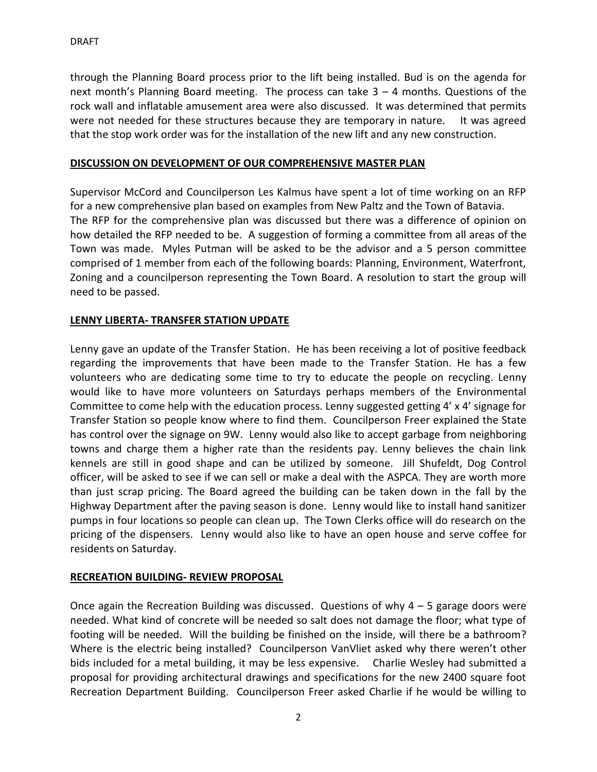through the Planning Board process prior to the lift being installed. Bud is on the agenda for next month's Planning Board meeting. The process can take 3 – 4 months. Questions of the rock wall and inflatable amusement area were also discussed. It was determined that permits were not needed for these structures because they are temporary in nature. It was agreed that the stop work order was for the installation of the new lift and any new construction.

### **DISCUSSION ON DEVELOPMENT OF OUR COMPREHENSIVE MASTER PLAN**

Supervisor McCord and Councilperson Les Kalmus have spent a lot of time working on an RFP for a new comprehensive plan based on examples from New Paltz and the Town of Batavia. The RFP for the comprehensive plan was discussed but there was a difference of opinion on how detailed the RFP needed to be. A suggestion of forming a committee from all areas of the Town was made. Myles Putman will be asked to be the advisor and a 5 person committee comprised of 1 member from each of the following boards: Planning, Environment, Waterfront, Zoning and a councilperson representing the Town Board. A resolution to start the group will need to be passed.

### **LENNY LIBERTA- TRANSFER STATION UPDATE**

Lenny gave an update of the Transfer Station. He has been receiving a lot of positive feedback regarding the improvements that have been made to the Transfer Station. He has a few volunteers who are dedicating some time to try to educate the people on recycling. Lenny would like to have more volunteers on Saturdays perhaps members of the Environmental Committee to come help with the education process. Lenny suggested getting 4' x 4' signage for Transfer Station so people know where to find them. Councilperson Freer explained the State has control over the signage on 9W. Lenny would also like to accept garbage from neighboring towns and charge them a higher rate than the residents pay. Lenny believes the chain link kennels are still in good shape and can be utilized by someone. Jill Shufeldt, Dog Control officer, will be asked to see if we can sell or make a deal with the ASPCA. They are worth more than just scrap pricing. The Board agreed the building can be taken down in the fall by the Highway Department after the paving season is done. Lenny would like to install hand sanitizer pumps in four locations so people can clean up. The Town Clerks office will do research on the pricing of the dispensers. Lenny would also like to have an open house and serve coffee for residents on Saturday.

### **RECREATION BUILDING- REVIEW PROPOSAL**

Once again the Recreation Building was discussed. Questions of why  $4 - 5$  garage doors were needed. What kind of concrete will be needed so salt does not damage the floor; what type of footing will be needed. Will the building be finished on the inside, will there be a bathroom? Where is the electric being installed? Councilperson VanVliet asked why there weren't other bids included for a metal building, it may be less expensive. Charlie Wesley had submitted a proposal for providing architectural drawings and specifications for the new 2400 square foot Recreation Department Building. Councilperson Freer asked Charlie if he would be willing to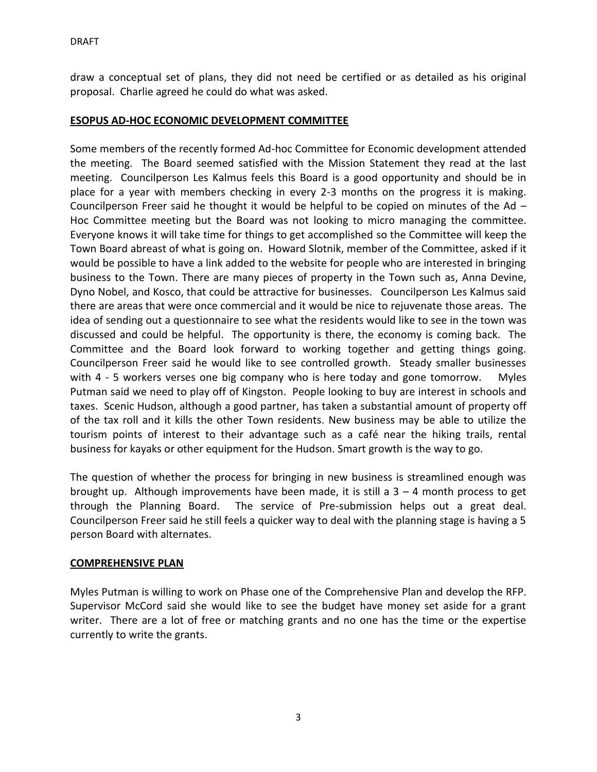draw a conceptual set of plans, they did not need be certified or as detailed as his original proposal. Charlie agreed he could do what was asked.

## **ESOPUS AD-HOC ECONOMIC DEVELOPMENT COMMITTEE**

Some members of the recently formed Ad-hoc Committee for Economic development attended the meeting. The Board seemed satisfied with the Mission Statement they read at the last meeting. Councilperson Les Kalmus feels this Board is a good opportunity and should be in place for a year with members checking in every 2-3 months on the progress it is making. Councilperson Freer said he thought it would be helpful to be copied on minutes of the Ad – Hoc Committee meeting but the Board was not looking to micro managing the committee. Everyone knows it will take time for things to get accomplished so the Committee will keep the Town Board abreast of what is going on. Howard Slotnik, member of the Committee, asked if it would be possible to have a link added to the website for people who are interested in bringing business to the Town. There are many pieces of property in the Town such as, Anna Devine, Dyno Nobel, and Kosco, that could be attractive for businesses. Councilperson Les Kalmus said there are areas that were once commercial and it would be nice to rejuvenate those areas. The idea of sending out a questionnaire to see what the residents would like to see in the town was discussed and could be helpful. The opportunity is there, the economy is coming back. The Committee and the Board look forward to working together and getting things going. Councilperson Freer said he would like to see controlled growth. Steady smaller businesses with 4 - 5 workers verses one big company who is here today and gone tomorrow. Myles Putman said we need to play off of Kingston. People looking to buy are interest in schools and taxes. Scenic Hudson, although a good partner, has taken a substantial amount of property off of the tax roll and it kills the other Town residents. New business may be able to utilize the tourism points of interest to their advantage such as a café near the hiking trails, rental business for kayaks or other equipment for the Hudson. Smart growth is the way to go.

The question of whether the process for bringing in new business is streamlined enough was brought up. Although improvements have been made, it is still a  $3 - 4$  month process to get through the Planning Board. The service of Pre-submission helps out a great deal. Councilperson Freer said he still feels a quicker way to deal with the planning stage is having a 5 person Board with alternates.

## **COMPREHENSIVE PLAN**

Myles Putman is willing to work on Phase one of the Comprehensive Plan and develop the RFP. Supervisor McCord said she would like to see the budget have money set aside for a grant writer. There are a lot of free or matching grants and no one has the time or the expertise currently to write the grants.